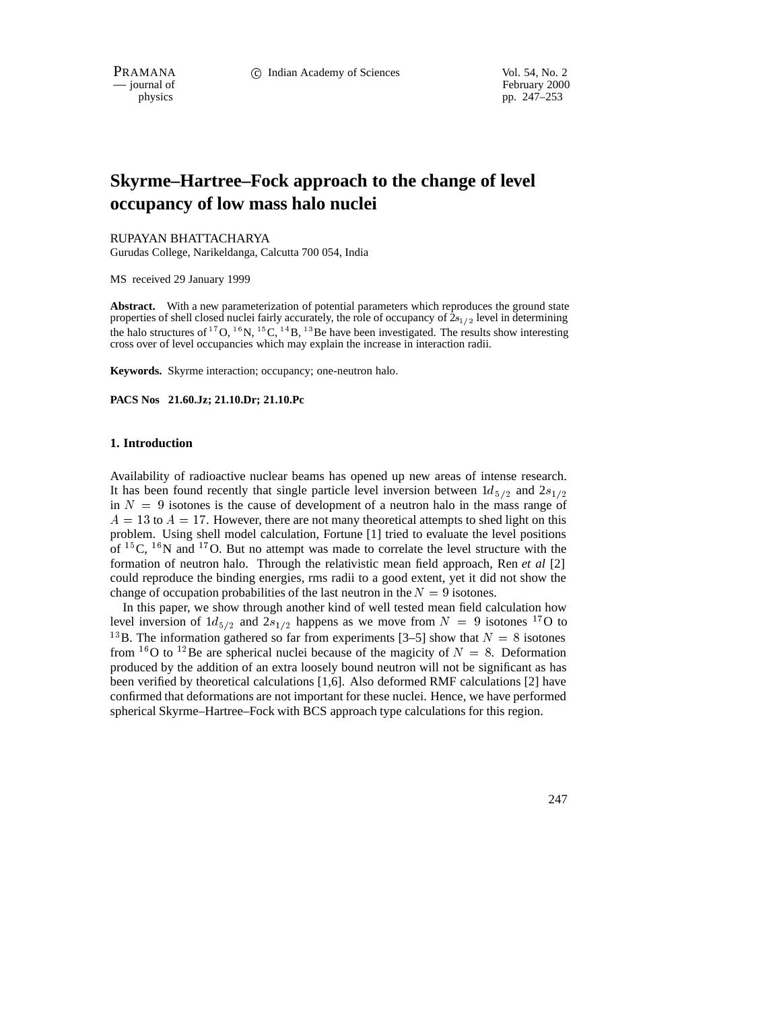physics<br>
physics<br>
pp. 247–253 pp. 247–253

# **Skyrme–Hartree–Fock approach to the change of level occupancy of low mass halo nuclei**

#### RUPAYAN BHATTACHARYA

Gurudas College, Narikeldanga, Calcutta 700 054, India

MS received 29 January 1999

**Abstract.** With a new parameterization of potential parameters which reproduces the ground state properties of shell closed nuclei fairly accurately, the role of occupancy of  $2s_{1/2}$  level in determining the halo structures of  $^{17}O$ ,  $^{16}N$ ,  $^{15}C$ ,  $^{14}B$ ,  $^{13}Be$  have been investigated. The results show interesting cross over of level occupancies which may explain the increase in interaction radii.

**Keywords.** Skyrme interaction; occupancy; one-neutron halo.

**PACS Nos 21.60.Jz; 21.10.Dr; 21.10.Pc**

#### **1. Introduction**

Availability of radioactive nuclear beams has opened up new areas of intense research. It has been found recently that single particle level inversion between  $1d_{5/2}$  and  $2s_{1/2}$ in  $N = 9$  isotones is the cause of development of a neutron halo in the mass range of  $A = 13$  to  $A = 17$ . However, there are not many theoretical attempts to shed light on this problem. Using shell model calculation, Fortune [1] tried to evaluate the level positions of  ${}^{15}C$ ,  ${}^{16}N$  and  ${}^{17}O$ . But no attempt was made to correlate the level structure with the formation of neutron halo. Through the relativistic mean field approach, Ren *et al* [2] could reproduce the binding energies, rms radii to a good extent, yet it did not show the change of occupation probabilities of the last neutron in the  $N = 9$  isotones.

In this paper, we show through another kind of well tested mean field calculation how level inversion of  $1d_{5/2}$  and  $2s_{1/2}$  happens as we move from  $N = 9$  isotones <sup>17</sup>O to <sup>13</sup>B. The information gathered so far from experiments [3–5] show that  $N = 8$  isotones from <sup>16</sup>O to <sup>12</sup>Be are spherical nuclei because of the magicity of  $N = 8$ . Deformation produced by the addition of an extra loosely bound neutron will not be significant as has been verified by theoretical calculations [1,6]. Also deformed RMF calculations [2] have confirmed that deformations are not important for these nuclei. Hence, we have performed spherical Skyrme–Hartree–Fock with BCS approach type calculations for this region.

247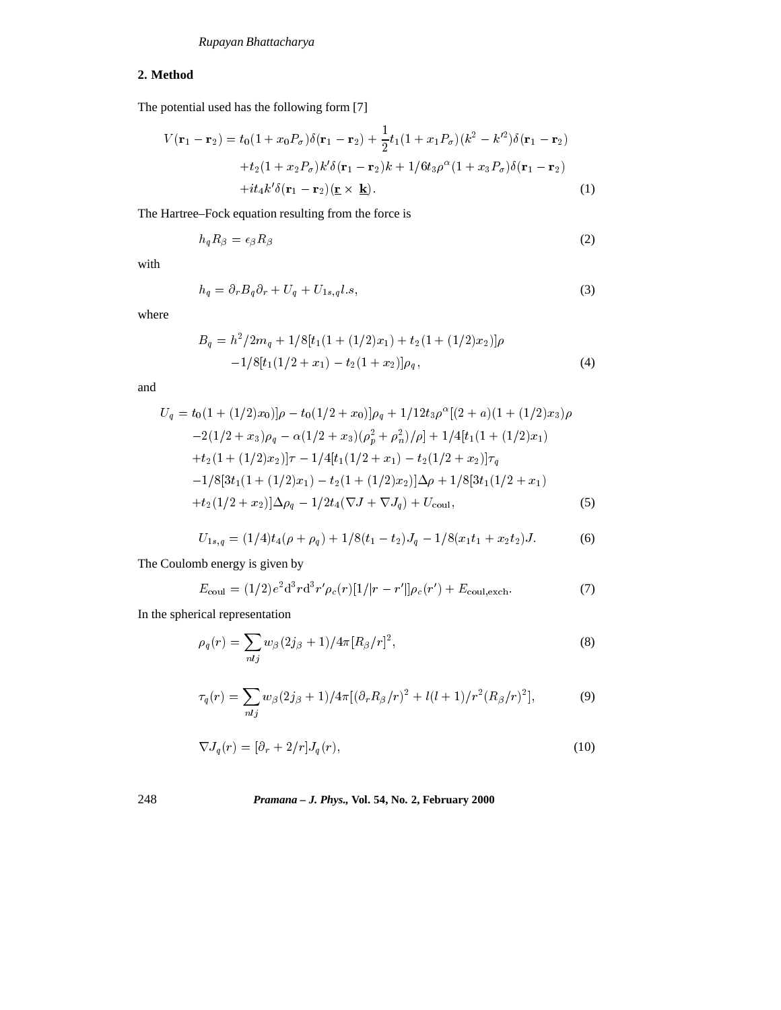# *Rupayan Bhattacharya*

# **2. Method**

The potential used has the following form [7]

$$
V(\mathbf{r}_1 - \mathbf{r}_2) = t_0(1 + x_0 P_\sigma)\delta(\mathbf{r}_1 - \mathbf{r}_2) + \frac{1}{2}t_1(1 + x_1 P_\sigma)(k^2 - k'^2)\delta(\mathbf{r}_1 - \mathbf{r}_2)
$$
  
+
$$
t_2(1 + x_2 P_\sigma)k'\delta(\mathbf{r}_1 - \mathbf{r}_2)k + 1/6t_3\rho^\alpha(1 + x_3 P_\sigma)\delta(\mathbf{r}_1 - \mathbf{r}_2)
$$
  
+
$$
i t_4 k'\delta(\mathbf{r}_1 - \mathbf{r}_2)(\mathbf{r} \times \mathbf{k}).
$$
 (1)

The Hartree–Fock equation resulting from the force is

$$
h_q R_\beta = \epsilon_\beta R_\beta \tag{2}
$$

with

$$
h_q = \partial_r B_q \partial_r + U_q + U_{1s,q} l.s,
$$
\n<sup>(3)</sup>

where

$$
B_q = h^2/2m_q + 1/8[t_1(1 + (1/2)x_1) + t_2(1 + (1/2)x_2)]\rho -1/8[t_1(1/2 + x_1) - t_2(1 + x_2)]\rho_q,
$$
\n(4)

and

$$
U_q = t_0(1 + (1/2)x_0)\rho - t_0(1/2 + x_0)\rho_q + 1/12t_3\rho^{\alpha}[(2 + a)(1 + (1/2)x_3)\rho
$$
  
\n
$$
-2(1/2 + x_3)\rho_q - \alpha(1/2 + x_3)(\rho_p^2 + \rho_n^2)/\rho] + 1/4[t_1(1 + (1/2)x_1)
$$
  
\n
$$
+t_2(1 + (1/2)x_2)\tau - 1/4[t_1(1/2 + x_1) - t_2(1/2 + x_2)]\tau_q
$$
  
\n
$$
-1/8[3t_1(1 + (1/2)x_1) - t_2(1 + (1/2)x_2)]\Delta\rho + 1/8[3t_1(1/2 + x_1)
$$
  
\n
$$
+t_2(1/2 + x_2)]\Delta\rho_q - 1/2t_4(\nabla J + \nabla J_q) + U_{\text{coul}},
$$
\n(5)

$$
U_{1s,q} = (1/4)t_4(\rho + \rho_q) + 1/8(t_1 - t_2)J_q - 1/8(x_1t_1 + x_2t_2)J.
$$
 (6)

The Coulomb energy is given by

$$
E_{\text{coul}} = (1/2)e^2 \mathrm{d}^3 r \mathrm{d}^3 r' \rho_c(r) [1/|r - r'|] \rho_c(r') + E_{\text{coul,exch}}.\tag{7}
$$

In the spherical representation

$$
\rho_q(r) = \sum_{nlj} w_{\beta} (2j_{\beta} + 1) / 4\pi [R_{\beta}/r]^2,
$$
\n(8)

$$
\tau_q(r) = \sum_{nlj} w_\beta (2j_\beta + 1)/4\pi [(\partial_r R_\beta/r)^2 + l(l+1)/r^2 (R_\beta/r)^2],\tag{9}
$$

$$
\nabla J_q(r) = [\partial_r + 2/r] J_q(r),\tag{10}
$$

# 248 *Pramana – J. Phys.,* **Vol. 54, No. 2, February 2000**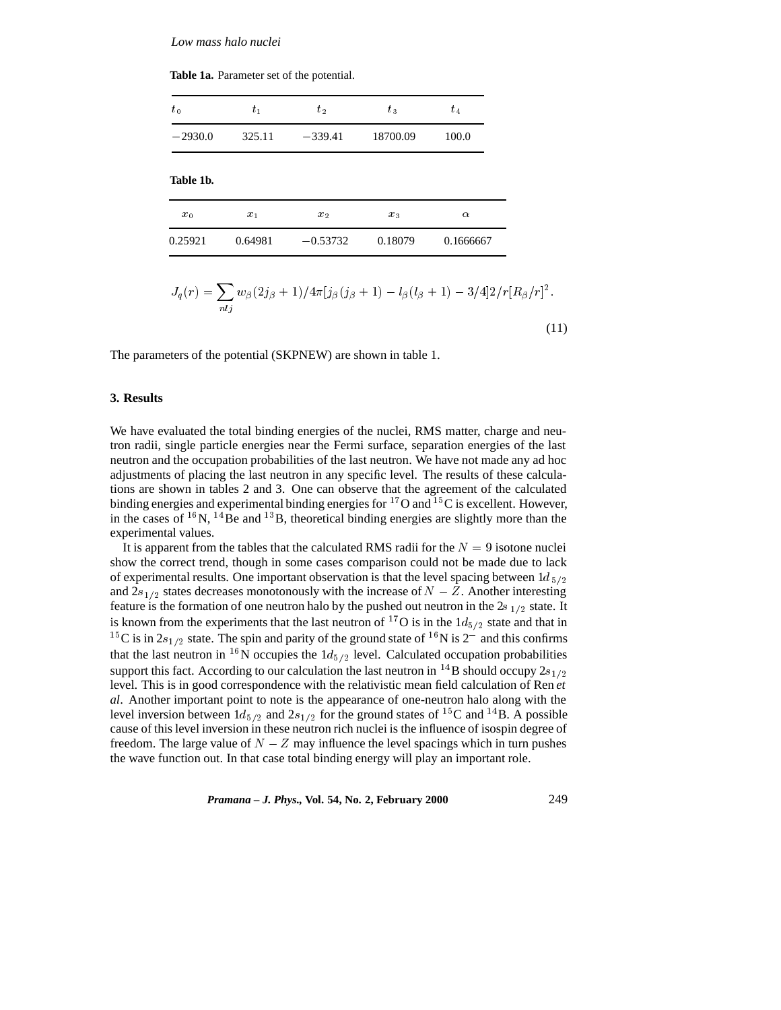**Table 1a.** Parameter set of the potential.

| $t_{1}$ | $t_2$      | $t_3$    | $t_{4}$   |
|---------|------------|----------|-----------|
| 325.11  | $-339.41$  | 18700.09 | 100.0     |
|         |            |          |           |
| $x_1$   | $x_2$      | $x_3$    | $\alpha$  |
| 0.64981 | $-0.53732$ | 0.18079  | 0.1666667 |
|         |            |          |           |

$$
J_q(r) = \sum_{nlj} w_\beta (2j_\beta + 1)/4\pi [j_\beta(j_\beta + 1) - l_\beta(l_\beta + 1) - 3/4]2/r [R_\beta/r]^2.
$$
\n(11)

The parameters of the potential (SKPNEW) are shown in table 1.

#### **3. Results**

We have evaluated the total binding energies of the nuclei, RMS matter, charge and neutron radii, single particle energies near the Fermi surface, separation energies of the last neutron and the occupation probabilities of the last neutron. We have not made any ad hoc adjustments of placing the last neutron in any specific level. The results of these calculations are shown in tables 2 and 3. One can observe that the agreement of the calculated binding energies and experimental binding energies for  $^{17}$ O and  $^{15}$ C is excellent. However, in the cases of  $^{16}N$ ,  $^{14}Be$  and  $^{13}B$ , theoretical binding energies are slightly more than the experimental values.

It is apparent from the tables that the calculated RMS radii for the  $N = 9$  isotone nuclei show the correct trend, though in some cases comparison could not be made due to lack of experimental results. One important observation is that the level spacing between  $1d_{5/2}$ and  $2s_{1/2}$  states decreases monotonously with the increase of  $N - Z$ . Another interesting feature is the formation of one neutron halo by the pushed out neutron in the  $2s_{1/2}$  state. It is known from the experiments that the last neutron of <sup>17</sup>O is in the  $1d_{5/2}$  state and that in <sup>15</sup>C is in  $2s_{1/2}$  state. The spin and parity of the ground state of <sup>16</sup>N is 2<sup>-</sup> and this confirms that the last neutron in <sup>16</sup>N occupies the  $1d_{5/2}$  level. Calculated occupation probabilities support this fact. According to our calculation the last neutron in <sup>14</sup>B should occupy  $2s_{1/2}$ level. This is in good correspondence with the relativistic mean field calculation of Ren *et al*. Another important point to note is the appearance of one-neutron halo along with the level inversion between  $1d_{5/2}$  and  $2s_{1/2}$  for the ground states of <sup>15</sup>C and <sup>14</sup>B. A possible cause of this level inversion in these neutron rich nuclei is the influence of isospin degree of freedom. The large value of  $N - Z$  may influence the level spacings which in turn pushes the wave function out. In that case total binding energy will play an important role.

*Pramana – J. Phys.,* **Vol. 54, No. 2, February 2000** 249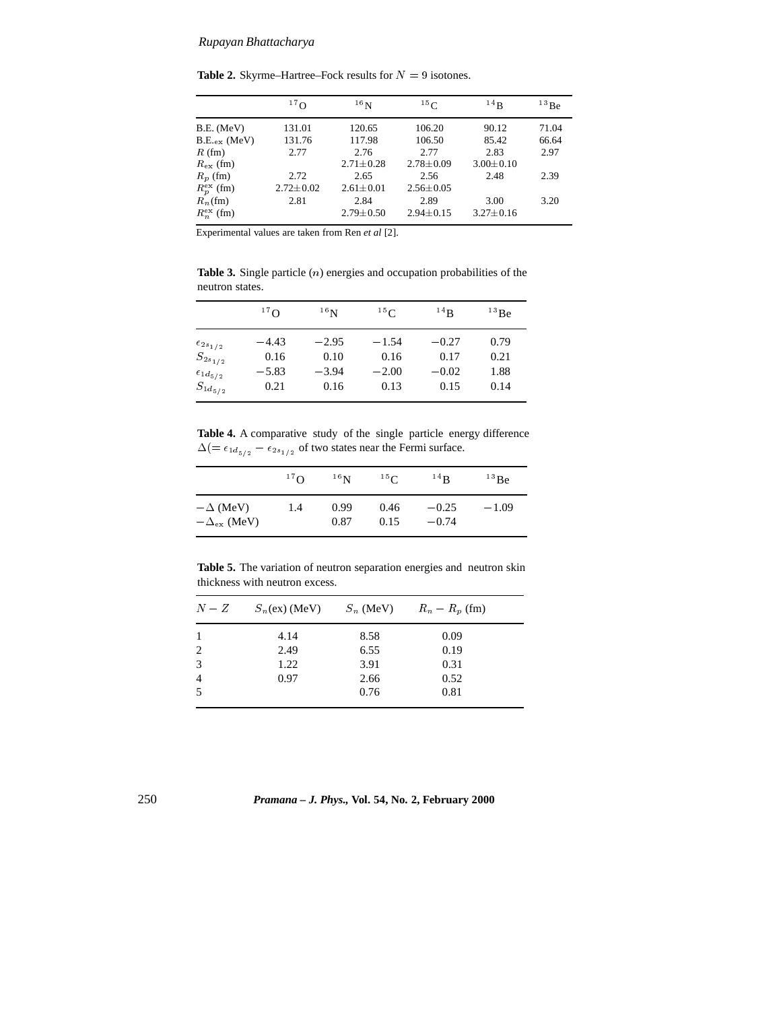## *Rupayan Bhattacharya*

**Table 2.** Skyrme–Hartree–Fock results for  $N = 9$  isotones.

|                         | 17 <sub>O</sub> | 16 <sub>N</sub> | 15 <sub>C</sub> | 14B             | 13Be  |
|-------------------------|-----------------|-----------------|-----------------|-----------------|-------|
| $B.E.$ (MeV)            | 131.01          | 120.65          | 106.20          | 90.12           | 71.04 |
| $B.E_{\text{ex}}$ (MeV) | 131.76          | 117.98          | 106.50          | 85.42           | 66.64 |
| $R$ (fm)                | 2.77            | 2.76            | 2.77            | 2.83            | 2.97  |
| $R_{\rm ex}$ (fm)       |                 | $2.71 \pm 0.28$ | $2.78 \pm 0.09$ | $3.00 \pm 0.10$ |       |
| $R_p$ (fm)              | 2.72            | 2.65            | 2.56            | 2.48            | 2.39  |
| $R_p^{\text{ex}}$ (fm)  | $2.72 \pm 0.02$ | $2.61 \pm 0.01$ | $2.56 \pm 0.05$ |                 |       |
| $R_n$ (fm)              | 2.81            | 2.84            | 2.89            | 3.00            | 3.20  |
| $R_n^{\text{ex}}$ (fm)  |                 | $2.79 \pm 0.50$ | $2.94 \pm 0.15$ | $3.27 \pm 0.16$ |       |

Experimental values are taken from Ren *et al* [2].

**Table 3.** Single particle (n) energies and occupation probabilities of the neutron states.

|                       | 17 <sub>O</sub> | 16 <sub>N</sub> | 15 <sub>C</sub> | $^{14}$ R | $^{13}$ Be |
|-----------------------|-----------------|-----------------|-----------------|-----------|------------|
| $\epsilon_{2s_{1/2}}$ | $-4.43$         | $-2.95$         | $-1.54$         | $-0.27$   | 0.79       |
| $S_{2s_{1/2}}$        | 0.16            | 0.10            | 0.16            | 0.17      | 0.21       |
| $\epsilon_{1d_{5/2}}$ | $-5.83$         | $-3.94$         | $-2.00$         | $-0.02$   | 1.88       |
| $S_{1d_{5/2}}$        | 0.21            | 0.16            | 0.13            | 0.15      | 0.14       |

**Table 4.** A comparative study of the single particle energy difference  $\Delta (=\epsilon_{1d_{5/2}}-\epsilon_{2s_{1/2}})$  of two states near the Fermi surface.

|                                             | 17 <sub>O</sub> | 16 <sub>N</sub> | 15 <sub>C</sub> | $^{14}$ R          | $^{13}$ Be |
|---------------------------------------------|-----------------|-----------------|-----------------|--------------------|------------|
| $-\Delta$ (MeV)<br>$-\Delta_{\rm ex}$ (MeV) | 1.4             | 0.99<br>0.87    | 0.46<br>0.15    | $-0.25$<br>$-0.74$ | $-1.09$    |

**Table 5.** The variation of neutron separation energies and neutron skin thickness with neutron excess.

| $N-Z$          | $S_n(\text{ex})$ (MeV) | $S_n$ (MeV) | $R_n - R_p$ (fm) |
|----------------|------------------------|-------------|------------------|
|                | 4.14                   | 8.58        | 0.09             |
| 2              | 2.49                   | 6.55        | 0.19             |
| 3              | 1.22                   | 3.91        | 0.31             |
| $\overline{4}$ | 0.97                   | 2.66        | 0.52             |
| .5             |                        | 0.76        | 0.81             |
|                |                        |             |                  |

250 *Pramana – J. Phys.,* **Vol. 54, No. 2, February 2000**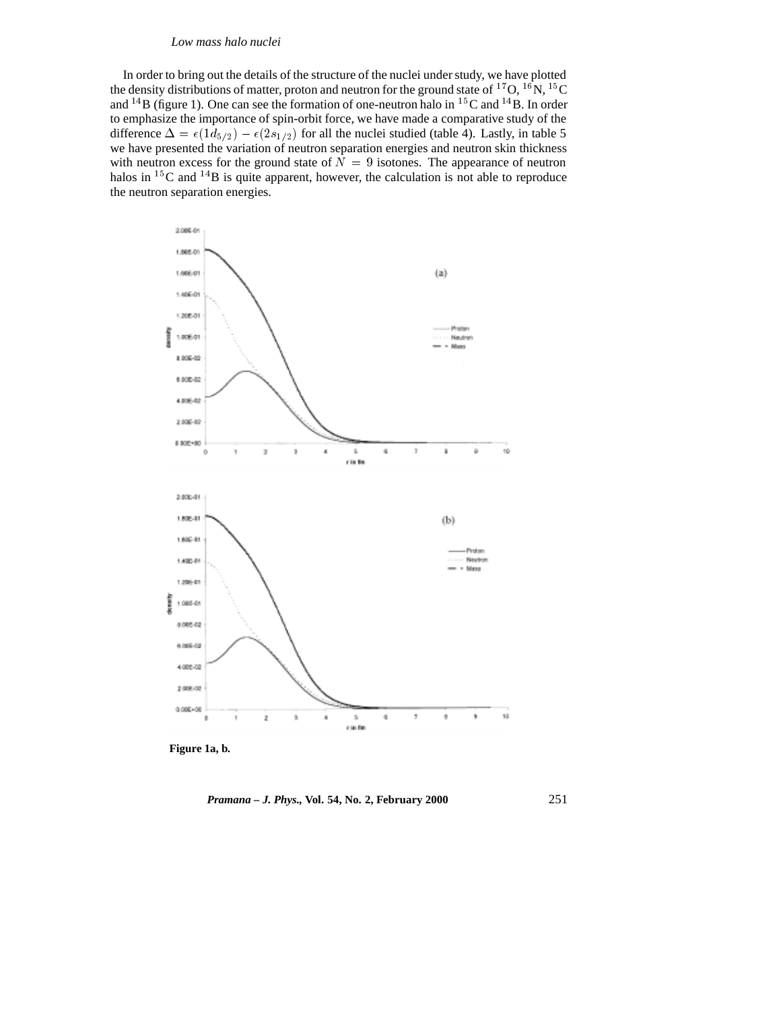### *Low mass halo nuclei*

In order to bring out the details of the structure of the nuclei under study, we have plotted the density distributions of matter, proton and neutron for the ground state of  $^{17}O$ ,  $^{16}N$ ,  $^{15}C$ and  $^{14}B$  (figure 1). One can see the formation of one-neutron halo in  $^{15}C$  and  $^{14}B$ . In order to emphasize the importance of spin-orbit force, we have made a comparative study of the difference  $\Delta = \epsilon(1d_{5/2}) - \epsilon(2s_{1/2})$  for all the nuclei studied (table 4). Lastly, in table 5 we have presented the variation of neutron separation energies and neutron skin thickness with neutron excess for the ground state of  $N = 9$  isotones. The appearance of neutron halos in  $15C$  and  $14B$  is quite apparent, however, the calculation is not able to reproduce the neutron separation energies.



**Figure 1a, b.**

*Pramana – J. Phys.,* **Vol. 54, No. 2, February 2000** 251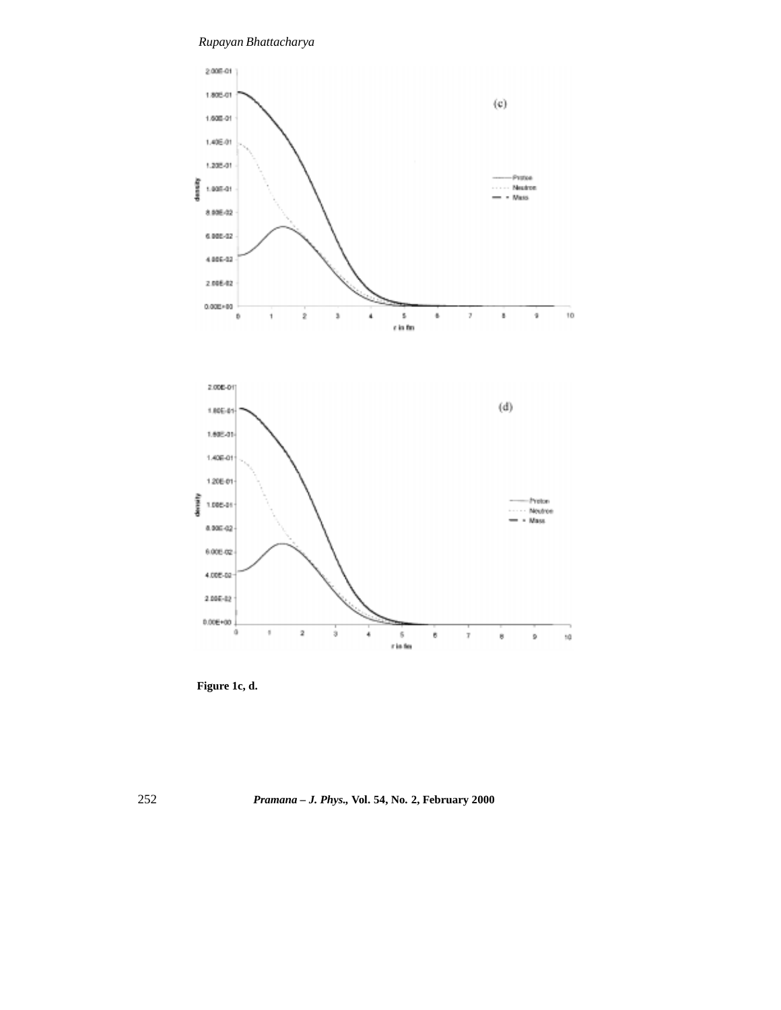*Rupayan Bhattacharya*





252 *Pramana – J. Phys.,* **Vol. 54, No. 2, February 2000**